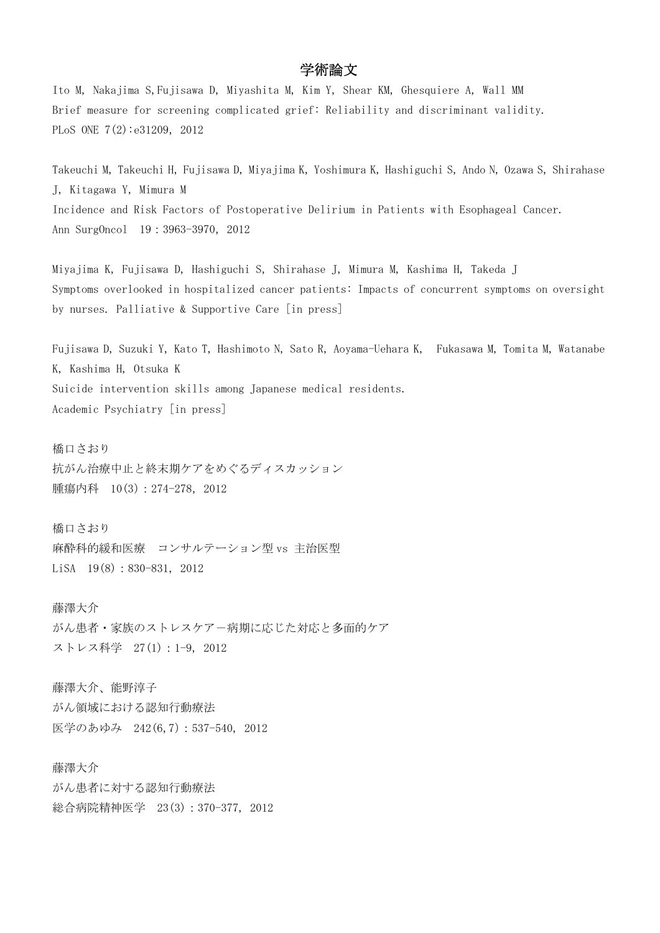## 学術論文

Ito M, Nakajima S,Fujisawa D, Miyashita M, Kim Y, Shear KM, Ghesquiere A, Wall MM Brief measure for screening complicated grief: Reliability and discriminant validity. PLoS ONE 7(2):e31209, 2012

Takeuchi M, Takeuchi H, Fujisawa D, Miyajima K, Yoshimura K, Hashiguchi S, Ando N, Ozawa S, Shirahase J, Kitagawa Y, Mimura M Incidence and Risk Factors of Postoperative Delirium in Patients with Esophageal Cancer. Ann SurgOncol 19:3963-3970,2012

Miyajima K, Fujisawa D, Hashiguchi S, Shirahase J, Mimura M, Kashima H, Takeda J Symptoms overlooked in hospitalized cancer patients: Impacts of concurrent symptoms on oversight by nurses. Palliative & Supportive Care [in press]

Fujisawa D, Suzuki Y, Kato T, Hashimoto N, Sato R, Aoyama-Uehara K, Fukasawa M, Tomita M, Watanabe K, Kashima H, Otsuka K Suicide intervention skills among Japanese medical residents. Academic Psychiatry [in press]

橋口さおり 抗がん治療中止と終末期ケアをめぐるディスカッション 腫瘍内科 10(3): 274-278, 2012

橋口さおり 麻酔科的緩和医療 コンサルテーション型 vs 主治医型 LiSA 19(8): 830-831, 2012

藤澤大介 がん患者・家族のストレスケア-病期に応じた対応と多面的ケア ストレス科学 27(1):1-9, 2012

藤澤大介、能野淳子 がん領域における認知行動療法 医学のあゆみ 242(6,7):537-540, 2012

藤澤大介 がん患者に対する認知行動療法 総合病院精神医学 23(3):370-377, 2012